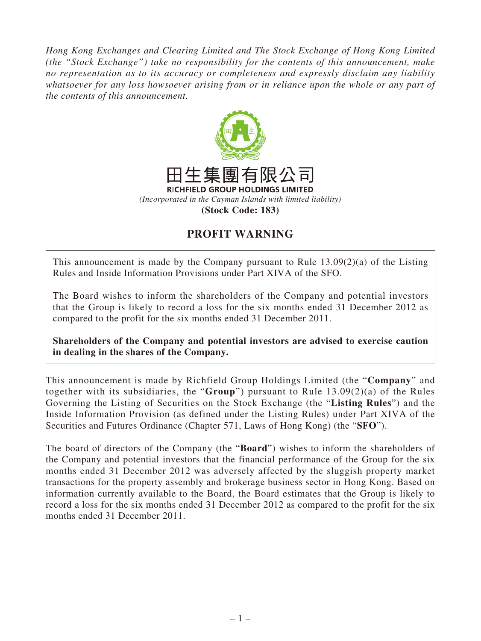*Hong Kong Exchanges and Clearing Limited and The Stock Exchange of Hong Kong Limited (the "Stock Exchange") take no responsibility for the contents of this announcement, make no representation as to its accuracy or completeness and expressly disclaim any liability whatsoever for any loss howsoever arising from or in reliance upon the whole or any part of the contents of this announcement.*



## **PROFIT WARNING**

This announcement is made by the Company pursuant to Rule 13.09(2)(a) of the Listing Rules and Inside Information Provisions under Part XIVA of the SFO.

The Board wishes to inform the shareholders of the Company and potential investors that the Group is likely to record a loss for the six months ended 31 December 2012 as compared to the profit for the six months ended 31 December 2011.

**Shareholders of the Company and potential investors are advised to exercise caution in dealing in the shares of the Company.**

This announcement is made by Richfield Group Holdings Limited (the "**Company**" and together with its subsidiaries, the "**Group**") pursuant to Rule 13.09(2)(a) of the Rules Governing the Listing of Securities on the Stock Exchange (the "**Listing Rules**") and the Inside Information Provision (as defined under the Listing Rules) under Part XIVA of the Securities and Futures Ordinance (Chapter 571, Laws of Hong Kong) (the "**SFO**").

The board of directors of the Company (the "**Board**") wishes to inform the shareholders of the Company and potential investors that the financial performance of the Group for the six months ended 31 December 2012 was adversely affected by the sluggish property market transactions for the property assembly and brokerage business sector in Hong Kong. Based on information currently available to the Board, the Board estimates that the Group is likely to record a loss for the six months ended 31 December 2012 as compared to the profit for the six months ended 31 December 2011.